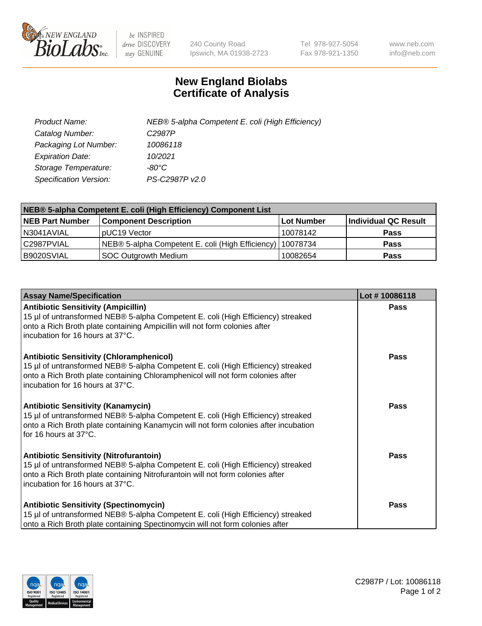

 $be$  INSPIRED drive DISCOVERY stay GENUINE

240 County Road Ipswich, MA 01938-2723 Tel 978-927-5054 Fax 978-921-1350 www.neb.com info@neb.com

## **New England Biolabs Certificate of Analysis**

| Product Name:           | NEB® 5-alpha Competent E. coli (High Efficiency) |
|-------------------------|--------------------------------------------------|
| Catalog Number:         | C <sub>2987</sub> P                              |
| Packaging Lot Number:   | 10086118                                         |
| <b>Expiration Date:</b> | 10/2021                                          |
| Storage Temperature:    | -80°C                                            |
| Specification Version:  | PS-C2987P v2.0                                   |

| NEB® 5-alpha Competent E. coli (High Efficiency) Component List |                                                             |            |                      |  |
|-----------------------------------------------------------------|-------------------------------------------------------------|------------|----------------------|--|
| <b>NEB Part Number</b>                                          | <b>Component Description</b>                                | Lot Number | Individual QC Result |  |
| N3041AVIAL                                                      | pUC19 Vector                                                | 10078142   | <b>Pass</b>          |  |
| C2987PVIAL                                                      | NEB® 5-alpha Competent E. coli (High Efficiency)   10078734 |            | <b>Pass</b>          |  |
| B9020SVIAL                                                      | SOC Outgrowth Medium                                        | 10082654   | <b>Pass</b>          |  |

| <b>Assay Name/Specification</b>                                                                                                                                                                                                                            | Lot #10086118 |
|------------------------------------------------------------------------------------------------------------------------------------------------------------------------------------------------------------------------------------------------------------|---------------|
| <b>Antibiotic Sensitivity (Ampicillin)</b><br>15 µl of untransformed NEB® 5-alpha Competent E. coli (High Efficiency) streaked<br>onto a Rich Broth plate containing Ampicillin will not form colonies after<br>incubation for 16 hours at 37°C.           | Pass          |
| <b>Antibiotic Sensitivity (Chloramphenicol)</b><br>15 µl of untransformed NEB® 5-alpha Competent E. coli (High Efficiency) streaked<br>onto a Rich Broth plate containing Chloramphenicol will not form colonies after<br>incubation for 16 hours at 37°C. | Pass          |
| <b>Antibiotic Sensitivity (Kanamycin)</b><br>15 µl of untransformed NEB® 5-alpha Competent E. coli (High Efficiency) streaked<br>onto a Rich Broth plate containing Kanamycin will not form colonies after incubation<br>for 16 hours at 37°C.             | Pass          |
| <b>Antibiotic Sensitivity (Nitrofurantoin)</b><br>15 µl of untransformed NEB® 5-alpha Competent E. coli (High Efficiency) streaked<br>onto a Rich Broth plate containing Nitrofurantoin will not form colonies after<br>incubation for 16 hours at 37°C.   | <b>Pass</b>   |
| <b>Antibiotic Sensitivity (Spectinomycin)</b><br>15 µl of untransformed NEB® 5-alpha Competent E. coli (High Efficiency) streaked<br>onto a Rich Broth plate containing Spectinomycin will not form colonies after                                         | Pass          |